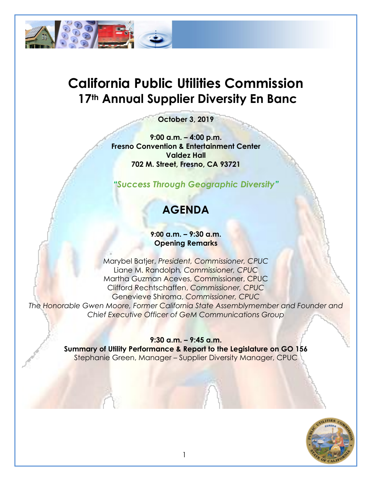

# **California Public Utilities Commission 17th Annual Supplier Diversity En Banc**

**October 3, 2019**

**9:00 a.m. – 4:00 p.m. Fresno Convention & Entertainment Center Valdez Hall 702 M. Street, Fresno, CA 93721**

*"Success Through Geographic Diversity"*

## **AGENDA**

#### **9:00 a.m. – 9:30 a.m. Opening Remarks**

Marybel Batjer, *President, Commissioner, CPUC* Liane M. Randolph*, Commissioner, CPUC* Martha Guzman Aceves, Commissioner, CPUC Clifford Rechtschaffen, *Commissioner, CPUC* Genevieve Shiroma, *Commissioner, CPUC The Honorable Gwen Moore, Former California State Assemblymember and Founder and Chief Executive Officer of GeM Communications Group*

> **9:30 a.m. – 9:45 a.m. Summary of Utility Performance & Report to the Legislature on GO 156** Stephanie Green, Manager – Supplier Diversity Manager, CPUC

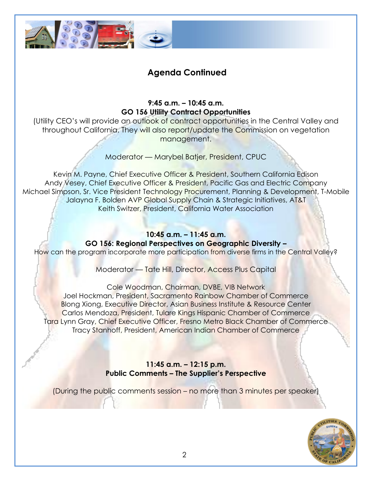

### **Agenda Continued**

**9:45 a.m. – 10:45 a.m. GO 156 Utility Contract Opportunities**

(Utility CEO's will provide an outlook of contract opportunities in the Central Valley and throughout California. They will also report/update the Commission on vegetation management.

Moderator — Marybel Batjer, President, CPUC

Kevin M. Payne, Chief Executive Officer & President, Southern California Edison Andy Vesey, Chief Executive Officer & President, Pacific Gas and Electric Company Michael Simpson, Sr. Vice President Technology Procurement, Planning & Development, T-Mobile Jalayna F. Bolden AVP Global Supply Chain & Strategic Initiatives, AT&T Keith Switzer, President, California Water Association

## **10:45 a.m. – 11:45 a.m. GO 156: Regional Perspectives on Geographic Diversity –**

How can the program incorporate more participation from diverse firms in the Central Valley?

Moderator — Tate Hill, Director, Access Plus Capital

Cole Woodman, Chairman, DVBE, VIB Network Joel Hockman, President, Sacramento Rainbow Chamber of Commerce Blong Xiong, Executive Director, Asian Business Institute & Resource Center Carlos Mendoza, President, Tulare Kings Hispanic Chamber of Commerce Tara Lynn Gray, Chief Executive Officer, Fresno Metro Black Chamber of Commerce Tracy Stanhoff, President, American Indian Chamber of Commerce

> **11:45 a.m. – 12:15 p.m. Public Comments – The Supplier's Perspective**

(During the public comments session – no more than 3 minutes per speaker)

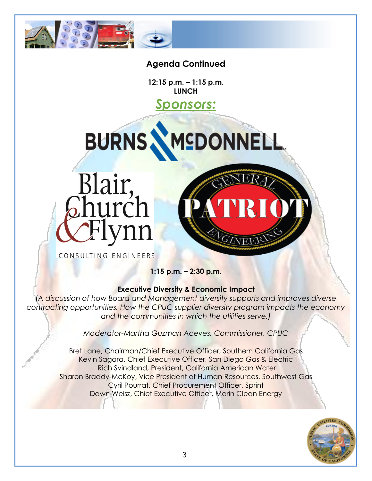

#### **Agenda Continued**

**12:15 p.m. – 1:15 p.m. LUNCH**

## *Sponsors:*

MEDONNELL



**BURNS** 

CONSULTING ENGINEERS

**1:15 p.m. – 2:30 p.m.**

#### **Executive Diversity & Economic Impact**

(*A discussion of how Board and Management diversity supports and improves diverse contracting opportunities. How the CPUC supplier diversity program impacts the economy and the communities in which the utilities serve.)*

*Moderator-Martha Guzman Aceves, Commissioner, CPUC*

Bret Lane, Chairman/Chief Executive Officer, Southern California Gas Kevin Sagara, Chief Executive Officer, San Diego Gas & Electric Rich Svindland, President, California American Water Sharon Braddy-McKoy, Vice President of Human Resources, Southwest Gas Cyril Pourrat, Chief Procurement Officer, Sprint Dawn Weisz, Chief Executive Officer, Marin Clean Energy